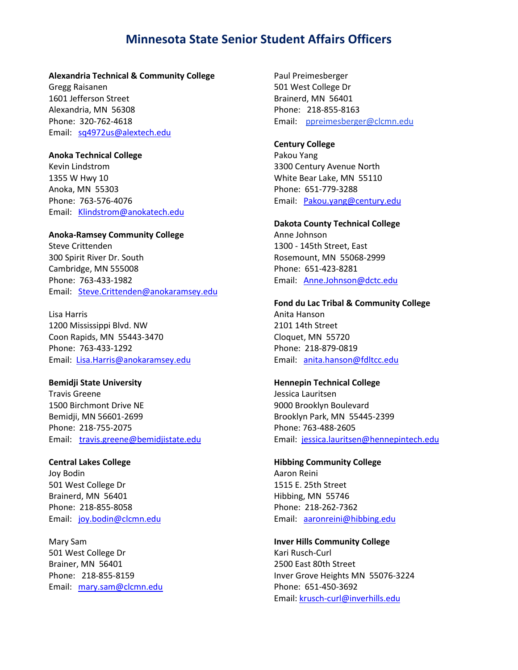#### **Alexandria Technical & Community College**

Gregg Raisanen 1601 Jefferson Street Alexandria, MN 56308 Phone: 320-762-4618 Email: [sq4972us@alextech.edu](mailto:sq4972us@alextech.edu)

#### **Anoka Technical College**

Kevin Lindstrom 1355 W Hwy 10 Anoka, MN 55303 Phone: 763-576-4076 Email: [Klindstrom@anokatech.edu](mailto:Klindstrom@anokatech.edu)

## **Anoka-Ramsey Community College**

Steve Crittenden 300 Spirit River Dr. South Cambridge, MN 555008 Phone: 763-433-1982 Email: [Steve.Crittenden@anokaramsey.edu](mailto:Steve.Crittenden@anokaramsey.edu)

Lisa Harris 1200 Mississippi Blvd. NW Coon Rapids, MN 55443-3470 Phone: 763-433-1292 Email: [Lisa.Harris@anokaramsey.edu](mailto:Lisa.Harris@anokaramsey.edu)

# **Bemidji State University**

Travis Greene 1500 Birchmont Drive NE Bemidji, MN 56601-2699 Phone: 218-755-2075 Email: [travis.greene@bemidjistate.edu](mailto:travis.greene@bemidjistate.edu)

# **Central Lakes College**

Joy Bodin 501 West College Dr Brainerd, MN 56401 Phone: 218-855-8058 Email: [joy.bodin@clcmn.edu](mailto:joy.bodin@clcmn.edu)

Mary Sam 501 West College Dr Brainer, MN 56401 Phone: 218-855-8159 Email: [mary.sam@clcmn.edu](mailto:mary.sam@clcmn.edu) Paul Preimesberger 501 West College Dr Brainerd, MN 56401 Phone: 218-855-8163 Email: [ppreimesberger@clcmn.edu](mailto:ppreimesberger@clcmn.edu)

# **Century College**

Pakou Yang 3300 Century Avenue North White Bear Lake, MN 55110 Phone: 651-779-3288 Email: [Pakou.yang@century.edu](mailto:Pakou.yang@century.edu)

### **Dakota County Technical College**

Anne Johnson 1300 - 145th Street, East Rosemount, MN 55068-2999 Phone: 651-423-8281 Email: [Anne.Johnson@dctc.edu](mailto:Anne.Johnson@dctc.edu)

#### **Fond du Lac Tribal & Community College**

Anita Hanson 2101 14th Street Cloquet, MN 55720 Phone: 218-879-0819 Email: [anita.hanson@fdltcc.edu](mailto:anita.hanson@fdltcc.edu)

#### **Hennepin Technical College**

Jessica Lauritsen 9000 Brooklyn Boulevard Brooklyn Park, MN 55445-2399 Phone: 763-488-2605 Email: [jessica.lauritsen@hennepintech.edu](mailto:jessica.lauritsen@hennepintech.edu)

#### **Hibbing Community College**

Aaron Reini 1515 E. 25th Street Hibbing, MN 55746 Phone: 218-262-7362 Email: [aaronreini@hibbing.edu](mailto:aaronreini@hibbing.edu)

#### **Inver Hills Community College**

Kari Rusch-Curl 2500 East 80th Street Inver Grove Heights MN 55076-3224 Phone: 651-450-3692 Email: [krusch-curl@inverhills.edu](mailto:krusch-curl@inverhills.edu)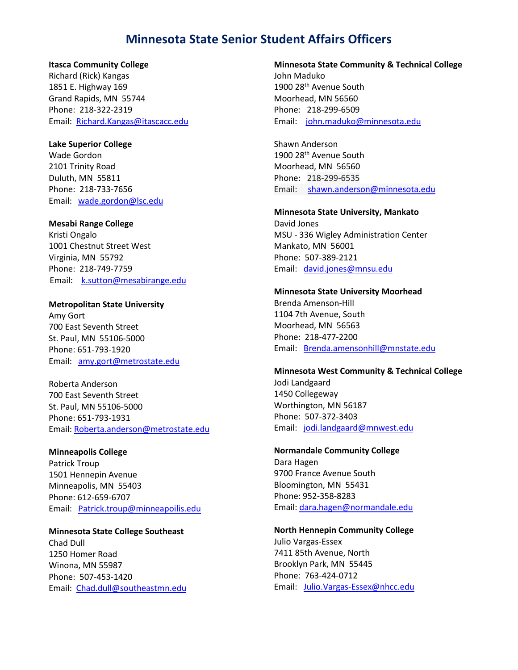# **Itasca Community College**

Richard (Rick) Kangas 1851 E. Highway 169 Grand Rapids, MN 55744 Phone: 218-322-2319 Email: [Richard.Kangas@itascacc.edu](mailto:Richard.Kangas@itascacc.edu)

# **Lake Superior College**

Wade Gordon 2101 Trinity Road Duluth, MN 55811 Phone: 218-733-7656 Email: [wade.gordon@lsc.edu](mailto:wade.gordon@lsc.edu)

# **Mesabi Range College**

Kristi Ongalo 1001 Chestnut Street West Virginia, MN 55792 Phone: 218-749-7759 Email: [k.sutton@mesabirange.edu](mailto:k.sutton@mesabirange.edu)

# **Metropolitan State University**

Amy Gort 700 East Seventh Street St. Paul, MN 55106-5000 Phone: 651-793-1920 Email: [amy.gort@metrostate.edu](mailto:amy.gort@metrostate.edu)

Roberta Anderson 700 East Seventh Street St. Paul, MN 55106-5000 Phone: 651-793-1931 Email: [Roberta.anderson@metrostate.edu](mailto:Roberta.anderson@metrostate.edu)

# **Minneapolis College**

Patrick Troup 1501 Hennepin Avenue Minneapolis, MN 55403 Phone: 612-659-6707 Email: [Patrick.troup@minneapoilis.edu](mailto:Patrick.troup@minneapoilis.edu)

**Minnesota State College Southeast** Chad Dull 1250 Homer Road Winona, MN 55987 Phone: 507-453-1420 Email: [Chad.dull@southeastmn.edu](mailto:Chad.dull@southeastmn.edu)

# **Minnesota State Community & Technical College**

John Maduko 1900 28<sup>th</sup> Avenue South Moorhead, MN 56560 Phone: 218-299-6509 Email: [john.maduko@minnesota.edu](mailto:john.maduko@minnesota.edu)

Shawn Anderson 1900 28th Avenue South Moorhead, MN 56560 Phone: 218-299-6535 Email: [shawn.anderson@minnesota.edu](mailto:shawn.anderson@minnesota.edu)

#### **Minnesota State University, Mankato**

David Jones MSU - 336 Wigley Administration Center Mankato, MN 56001 Phone: 507-389-2121 Email: [david.jones@mnsu.edu](mailto:david.jones@mnsu.edu)

#### **Minnesota State University Moorhead**

Brenda Amenson-Hill 1104 7th Avenue, South Moorhead, MN 56563 Phone: 218-477-2200 Email: [Brenda.amensonhill@mnstate.edu](mailto:Brenda.amensonhill@mnstate.edu)

#### **Minnesota West Community & Technical College**

Jodi Landgaard 1450 Collegeway Worthington, MN 56187 Phone: 507-372-3403 Email: [jodi.landgaard@mnwest.edu](mailto:jodi.landgaard@mnwest.edu)

**Normandale Community College** Dara Hagen 9700 France Avenue South Bloomington, MN 55431 Phone: 952-358-8283 Email: [dara.hagen@normandale.edu](mailto:dara.hagen@normandale.edu)

**North Hennepin Community College** Julio Vargas-Essex 7411 85th Avenue, North Brooklyn Park, MN 55445 Phone: 763-424-0712 Email: [Julio.Vargas-Essex@nhcc.edu](mailto:Julio.Vargas-Essex@nhcc.edu)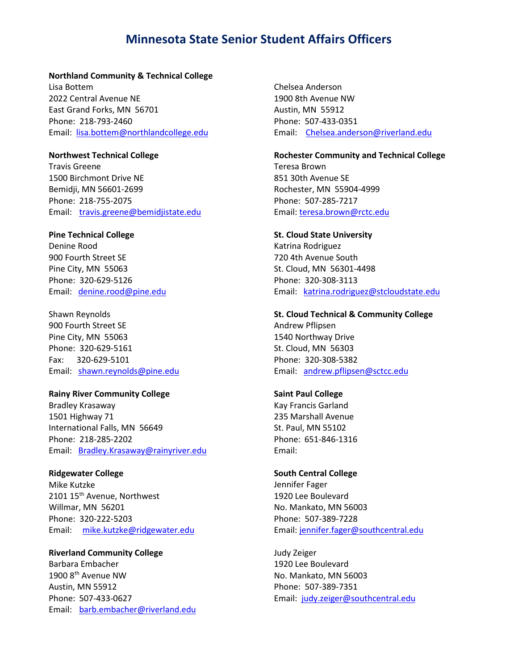#### **Northland Community & Technical College**

Lisa Bottem 2022 Central Avenue NE East Grand Forks, MN 56701 Phone: 218-793-2460 Email: [lisa.bottem@northlandcollege.edu](mailto:lisa.bottem@northlandcollege.edu)

#### **Northwest Technical College**

Travis Greene 1500 Birchmont Drive NE Bemidji, MN 56601-2699 Phone: 218-755-2075 Email: [travis.greene@bemidjistate.edu](mailto:travis.greene@bemidjistate.edu)

# **Pine Technical College**

Denine Rood 900 Fourth Street SE Pine City, MN 55063 Phone: [320-629-5126](tel:320-629-5126) Email: [denine.rood@pine.edu](mailto:denine.rood@pine.edu)

Shawn Reynolds 900 Fourth Street SE Pine City, MN 55063 Phone: 320-629-5161 Fax: 320-629-5101 Email: [shawn.reynolds@pine.edu](mailto:shawn.reynolds@pine.edu)

## **Rainy River Community College**

Bradley Krasaway 1501 Highway 71 International Falls, MN 56649 Phone: 218-285-2202 Email: [Bradley.Krasaway@rainyriver.edu](mailto:Bradley.Krasaway@rainyriver.edu)

# **Ridgewater College**

Mike Kutzke 2101 15<sup>th</sup> Avenue, Northwest Willmar, MN 56201 Phone: 320-222-5203 Email: [mike.kutzke@ridgewater.edu](mailto:mike.kutzke@ridgewater.edu)

**Riverland Community College** Barbara Embacher 1900 8th Avenue NW Austin, MN 55912 Phone: 507-433-0627 Email: [barb.embacher@riverland.edu](mailto:barb.embacher@riverland.edu)

Chelsea Anderson 1900 8th Avenue NW Austin, MN 55912 Phone: 507-433-0351 Email: [Chelsea.anderson@riverland.edu](mailto:Chelsea.anderson@riverland.edu)

### **Rochester Community and Technical College** Teresa Brown

851 30th Avenue SE Rochester, MN 55904-4999 Phone: 507-285-7217 Email: [teresa.brown@rctc.edu](mailto:teresa.brown@rctc.edu)

# **St. Cloud State University**

Katrina Rodriguez 720 4th Avenue South St. Cloud, MN 56301-4498 Phone: 320-308-3113 Email: [katrina.rodriguez@stcloudstate.edu](mailto:katrina.rodriguez@stcloudstate.edu)

## **St. Cloud Technical & Community College**

Andrew Pflipsen 1540 Northway Drive St. Cloud, MN 56303 Phone: 320-308-5382 Email: [andrew.pflipsen@sctcc.edu](mailto:andrew.pflipsen@sctcc.edu)

# **Saint Paul College**

Kay Francis Garland 235 Marshall Avenue St. Paul, MN 55102 Phone: 651-846-1316 Email:

#### **South Central College**

Jennifer Fager 1920 Lee Boulevard No. Mankato, MN 56003 Phone: 507-389-7228 Email: [jennifer.fager@southcentral.edu](mailto:jennifer.fager@southcentral.edu)

Judy Zeiger 1920 Lee Boulevard No. Mankato, MN 56003 Phone: 507-389-7351 Email: [judy.zeiger@southcentral.edu](mailto:judy.zeiger@southcentral.edu)